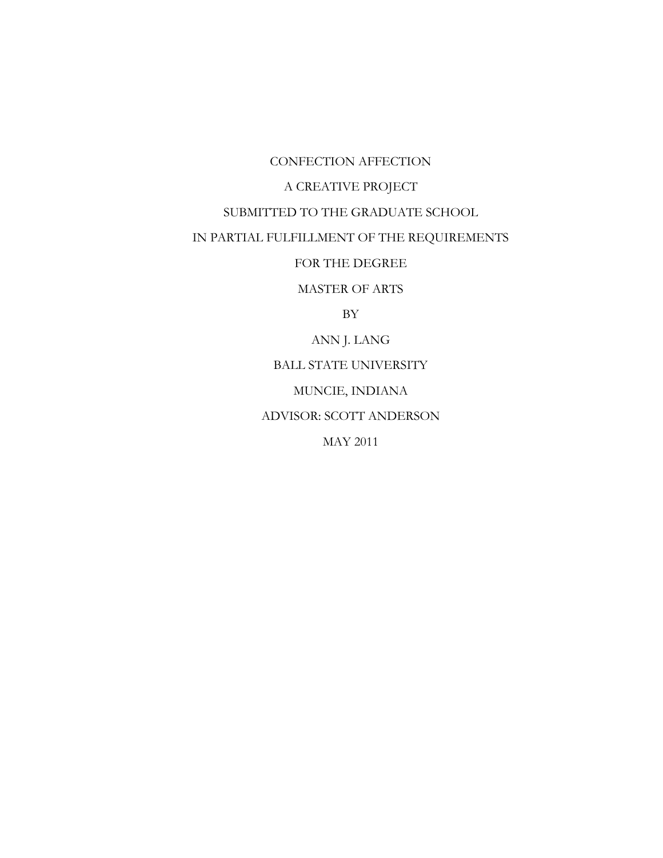CONFECTION AFFECTION

# A CREATIVE PROJECT

# SUBMITTED TO THE GRADUATE SCHOOL

# IN PARTIAL FULFILLMENT OF THE REQUIREMENTS

## FOR THE DEGREE

MASTER OF ARTS

BY

ANN J. LANG

BALL STATE UNIVERSITY

MUNCIE, INDIANA

ADVISOR: SCOTT ANDERSON

MAY 2011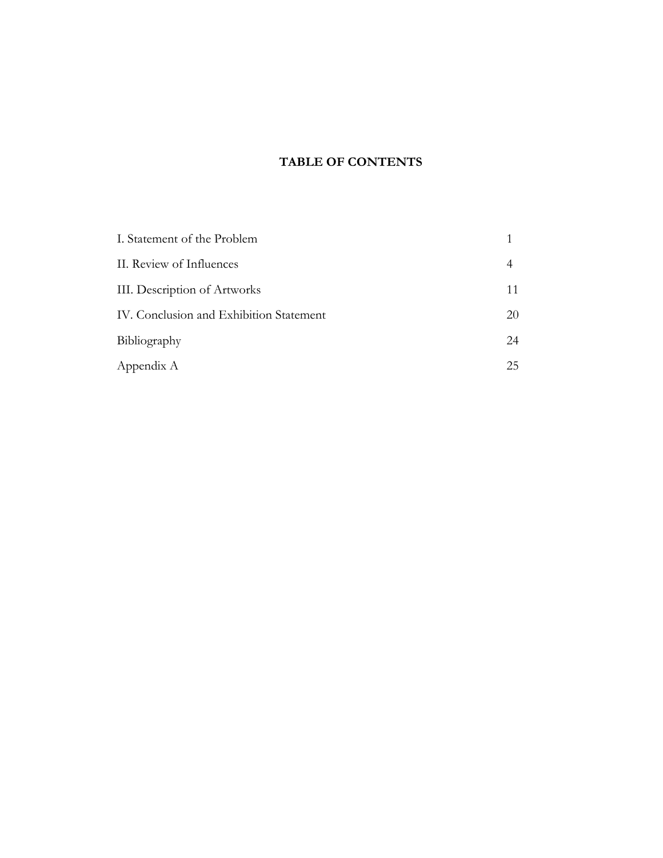# **TABLE OF CONTENTS**

| I. Statement of the Problem             |    |
|-----------------------------------------|----|
| II. Review of Influences                |    |
| III. Description of Artworks            | 11 |
| IV. Conclusion and Exhibition Statement | 20 |
| Bibliography                            | 24 |
| Appendix A                              | 25 |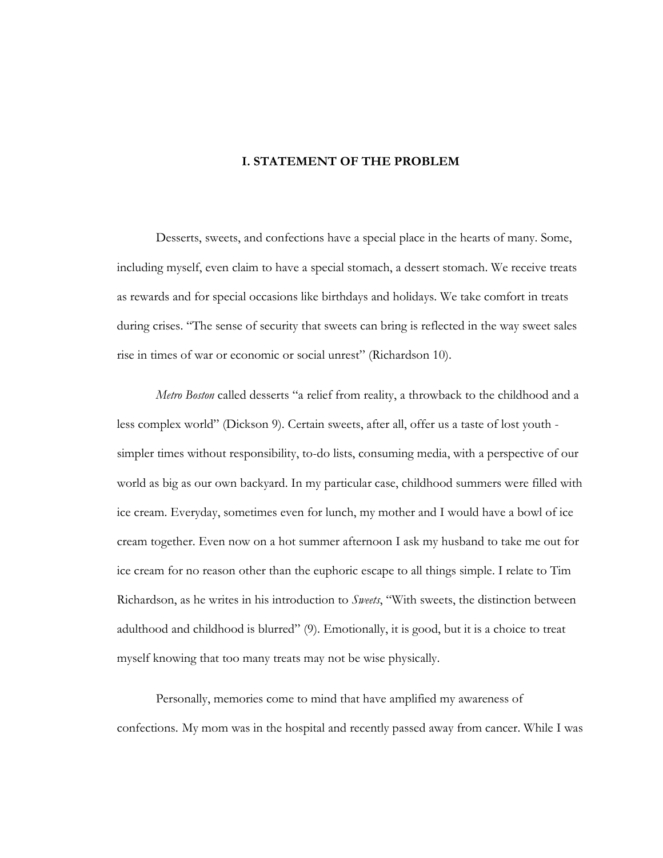### **I. STATEMENT OF THE PROBLEM**

Desserts, sweets, and confections have a special place in the hearts of many. Some, including myself, even claim to have a special stomach, a dessert stomach. We receive treats as rewards and for special occasions like birthdays and holidays. We take comfort in treats during crises. "The sense of security that sweets can bring is reflected in the way sweet sales rise in times of war or economic or social unrest" (Richardson 10).

*Metro Boston* called desserts "a relief from reality, a throwback to the childhood and a less complex world" (Dickson 9). Certain sweets, after all, offer us a taste of lost youth simpler times without responsibility, to-do lists, consuming media, with a perspective of our world as big as our own backyard. In my particular case, childhood summers were filled with ice cream. Everyday, sometimes even for lunch, my mother and I would have a bowl of ice cream together. Even now on a hot summer afternoon I ask my husband to take me out for ice cream for no reason other than the euphoric escape to all things simple. I relate to Tim Richardson, as he writes in his introduction to *Sweets*, "With sweets, the distinction between adulthood and childhood is blurred" (9). Emotionally, it is good, but it is a choice to treat myself knowing that too many treats may not be wise physically.

Personally, memories come to mind that have amplified my awareness of confections. My mom was in the hospital and recently passed away from cancer. While I was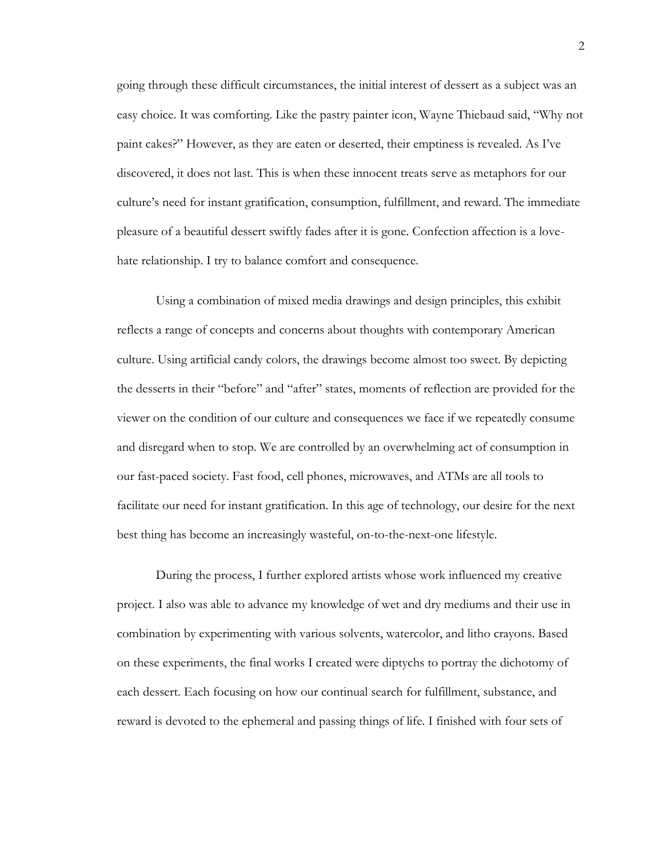going through these difficult circumstances, the initial interest of dessert as a subject was an easy choice. It was comforting. Like the pastry painter icon, Wayne Thiebaud said, "Why not paint cakes?‖ However, as they are eaten or deserted, their emptiness is revealed. As I've discovered, it does not last. This is when these innocent treats serve as metaphors for our culture's need for instant gratification, consumption, fulfillment, and reward. The immediate pleasure of a beautiful dessert swiftly fades after it is gone. Confection affection is a lovehate relationship. I try to balance comfort and consequence.

Using a combination of mixed media drawings and design principles, this exhibit reflects a range of concepts and concerns about thoughts with contemporary American culture. Using artificial candy colors, the drawings become almost too sweet. By depicting the desserts in their "before" and "after" states, moments of reflection are provided for the viewer on the condition of our culture and consequences we face if we repeatedly consume and disregard when to stop. We are controlled by an overwhelming act of consumption in our fast-paced society. Fast food, cell phones, microwaves, and ATMs are all tools to facilitate our need for instant gratification. In this age of technology, our desire for the next best thing has become an increasingly wasteful, on-to-the-next-one lifestyle.

During the process, I further explored artists whose work influenced my creative project. I also was able to advance my knowledge of wet and dry mediums and their use in combination by experimenting with various solvents, watercolor, and litho crayons. Based on these experiments, the final works I created were diptychs to portray the dichotomy of each dessert. Each focusing on how our continual search for fulfillment, substance, and reward is devoted to the ephemeral and passing things of life. I finished with four sets of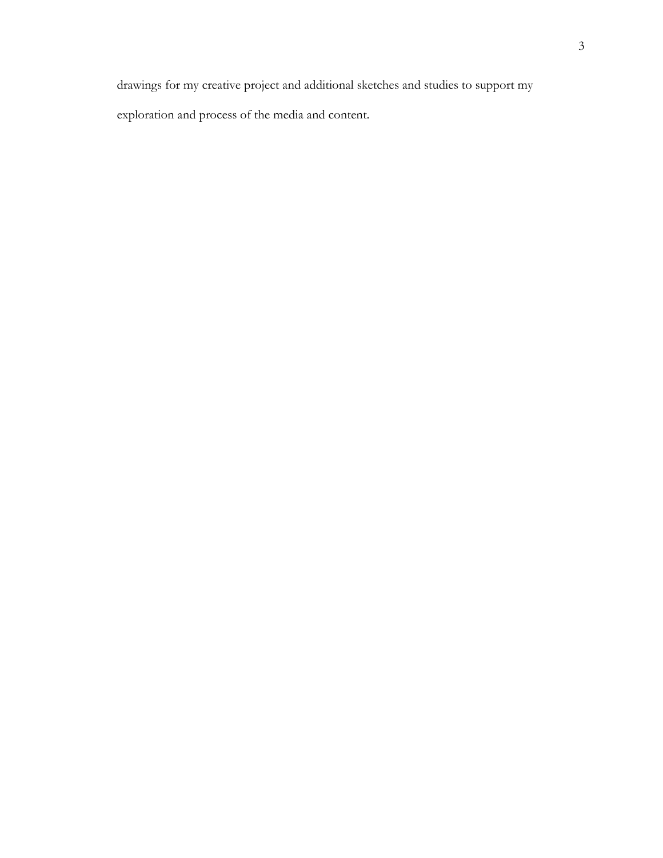drawings for my creative project and additional sketches and studies to support my exploration and process of the media and content.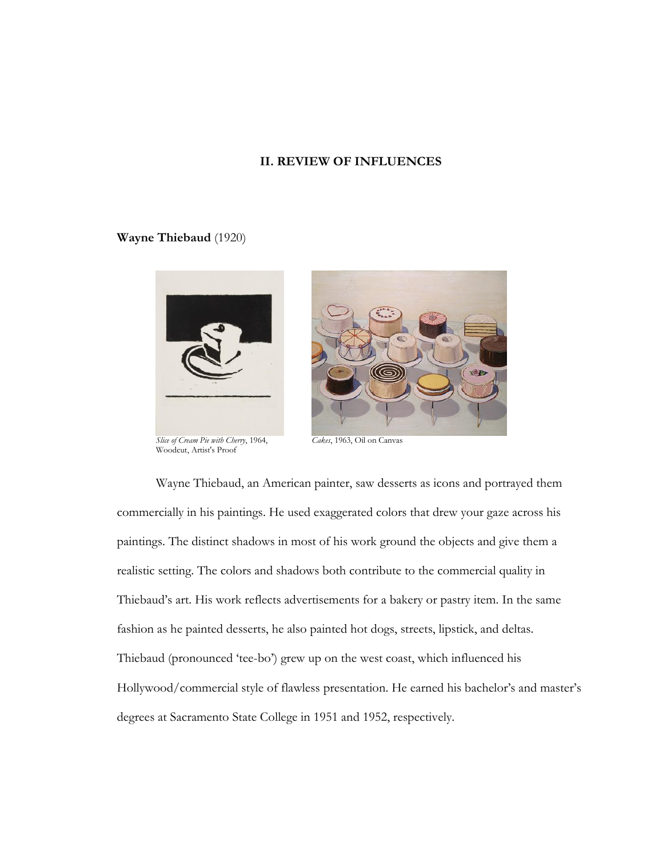### **II. REVIEW OF INFLUENCES**

### **Wayne Thiebaud** (1920)



*Slice of Cream Pie with Cherry*, 1964, *Cakes*, 1963, Oil on Canvas Woodcut, Artist's Proof



Wayne Thiebaud, an American painter, saw desserts as icons and portrayed them commercially in his paintings. He used exaggerated colors that drew your gaze across his paintings. The distinct shadows in most of his work ground the objects and give them a realistic setting. The colors and shadows both contribute to the commercial quality in Thiebaud's art. His work reflects advertisements for a bakery or pastry item. In the same fashion as he painted desserts, he also painted hot dogs, streets, lipstick, and deltas. Thiebaud (pronounced 'tee-bo') grew up on the west coast, which influenced his Hollywood/commercial style of flawless presentation. He earned his bachelor's and master's degrees at Sacramento State College in 1951 and 1952, respectively.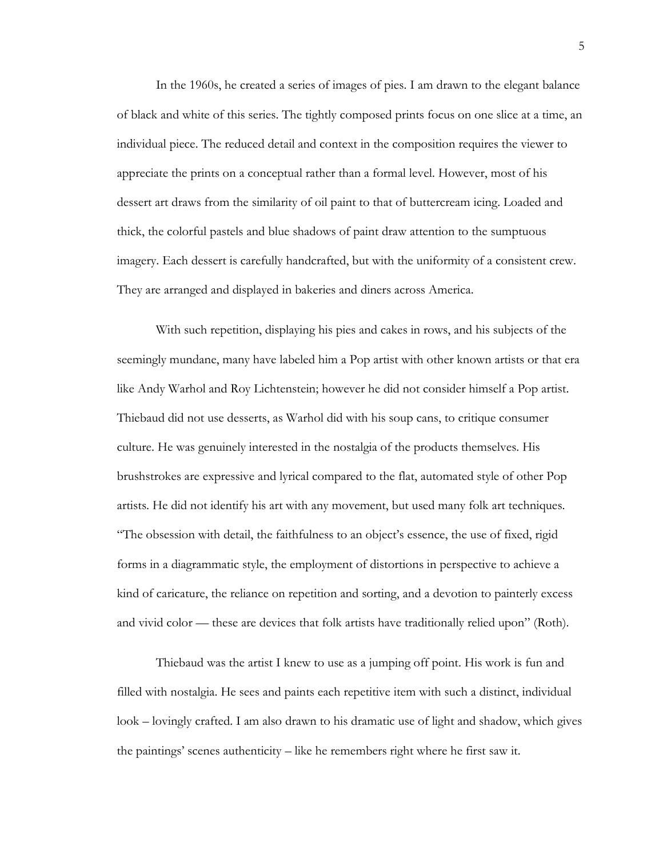In the 1960s, he created a series of images of pies. I am drawn to the elegant balance of black and white of this series. The tightly composed prints focus on one slice at a time, an individual piece. The reduced detail and context in the composition requires the viewer to appreciate the prints on a conceptual rather than a formal level. However, most of his dessert art draws from the similarity of oil paint to that of buttercream icing. Loaded and thick, the colorful pastels and blue shadows of paint draw attention to the sumptuous imagery. Each dessert is carefully handcrafted, but with the uniformity of a consistent crew. They are arranged and displayed in bakeries and diners across America.

With such repetition, displaying his pies and cakes in rows, and his subjects of the seemingly mundane, many have labeled him a Pop artist with other known artists or that era like Andy Warhol and Roy Lichtenstein; however he did not consider himself a Pop artist. Thiebaud did not use desserts, as Warhol did with his soup cans, to critique consumer culture. He was genuinely interested in the nostalgia of the products themselves. His brushstrokes are expressive and lyrical compared to the flat, automated style of other Pop artists. He did not identify his art with any movement, but used many folk art techniques. ―The obsession with detail, the faithfulness to an object's essence, the use of fixed, rigid forms in a diagrammatic style, the employment of distortions in perspective to achieve a kind of caricature, the reliance on repetition and sorting, and a devotion to painterly excess and vivid color — these are devices that folk artists have traditionally relied upon" (Roth).

Thiebaud was the artist I knew to use as a jumping off point. His work is fun and filled with nostalgia. He sees and paints each repetitive item with such a distinct, individual look – lovingly crafted. I am also drawn to his dramatic use of light and shadow, which gives the paintings' scenes authenticity – like he remembers right where he first saw it.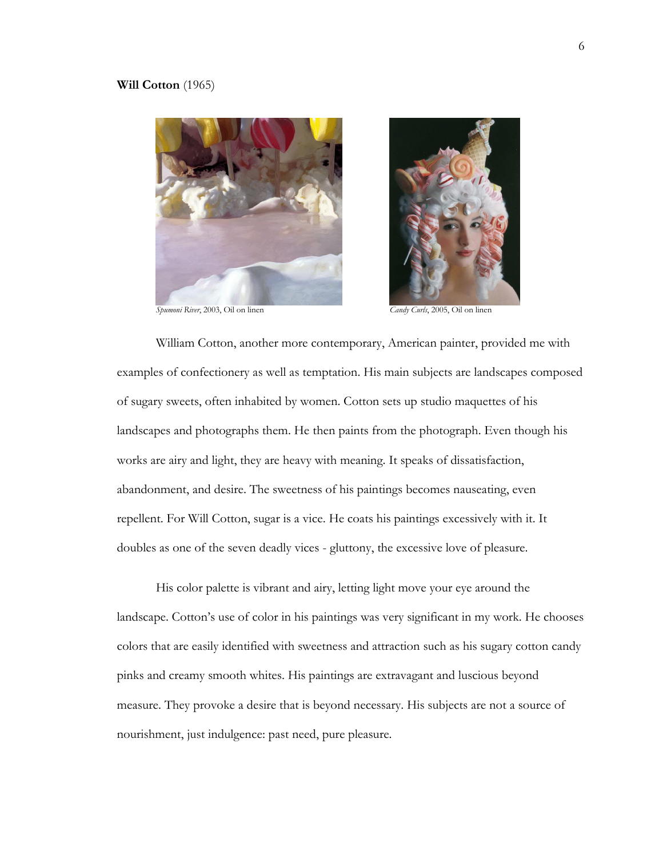#### **Will Cotton** (1965)



*Spumoni River*, 2003, Oil on linen *Candy Curls*, 2005, Oil on linen



William Cotton, another more contemporary, American painter, provided me with examples of confectionery as well as temptation. His main subjects are landscapes composed of sugary sweets, often inhabited by women. Cotton sets up studio maquettes of his landscapes and photographs them. He then paints from the photograph. Even though his works are airy and light, they are heavy with meaning. It speaks of dissatisfaction, abandonment, and desire. The sweetness of his paintings becomes nauseating, even repellent. For Will Cotton, sugar is a vice. He coats his paintings excessively with it. It doubles as one of the seven deadly vices - gluttony, the excessive love of pleasure.

His color palette is vibrant and airy, letting light move your eye around the landscape. Cotton's use of color in his paintings was very significant in my work. He chooses colors that are easily identified with sweetness and attraction such as his sugary cotton candy pinks and creamy smooth whites. His paintings are extravagant and luscious beyond measure. They provoke a desire that is beyond necessary. His subjects are not a source of nourishment, just indulgence: past need, pure pleasure.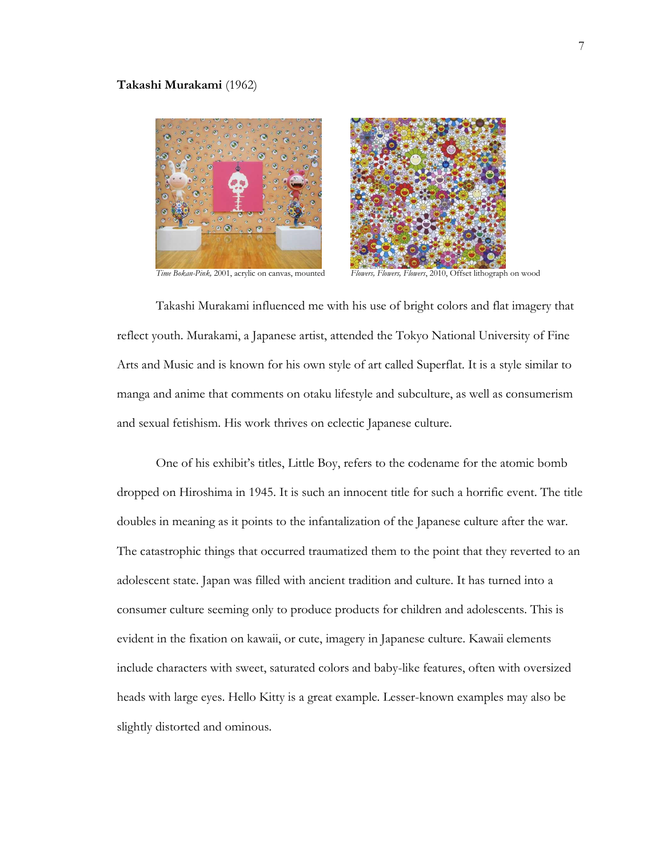#### **Takashi Murakami** (1962)





*Time Bokan-Pink,* 2001, acrylic on canvas, mounted *Flowers, Flowers, Flowers*, 2010, Offset lithograph on wood

Takashi Murakami influenced me with his use of bright colors and flat imagery that reflect youth. Murakami, a Japanese artist, attended the Tokyo National University of Fine Arts and Music and is known for his own style of art called Superflat. It is a style similar to manga and anime that comments on otaku lifestyle and subculture, as well as consumerism and sexual fetishism. His work thrives on eclectic Japanese culture.

One of his exhibit's titles, Little Boy, refers to the codename for the atomic bomb dropped on Hiroshima in 1945. It is such an innocent title for such a horrific event. The title doubles in meaning as it points to the infantalization of the Japanese culture after the war. The catastrophic things that occurred traumatized them to the point that they reverted to an adolescent state. Japan was filled with ancient tradition and culture. It has turned into a consumer culture seeming only to produce products for children and adolescents. This is evident in the fixation on kawaii, or cute, imagery in Japanese culture. Kawaii elements include characters with sweet, saturated colors and baby-like features, often with oversized heads with large eyes. Hello Kitty is a great example. Lesser-known examples may also be slightly distorted and ominous.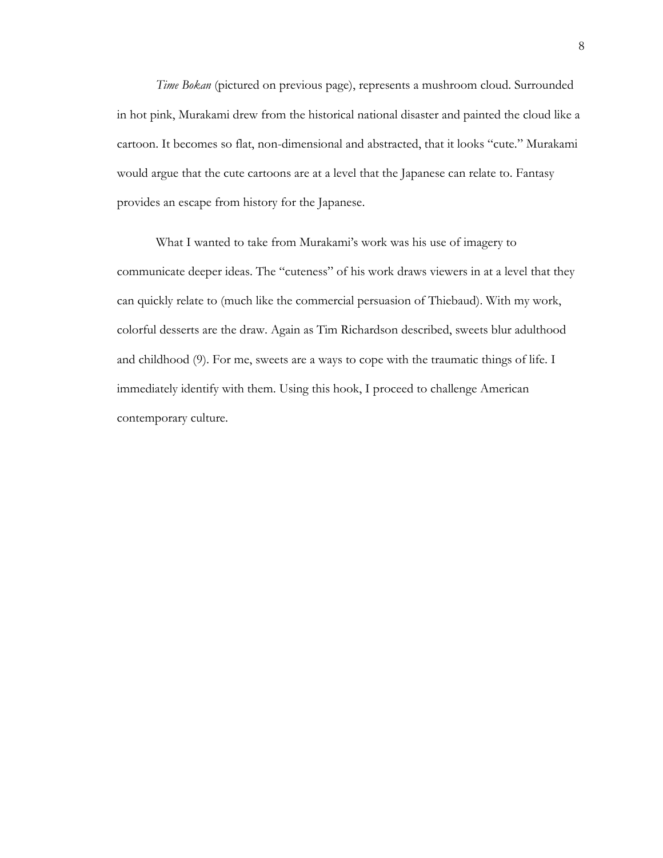*Time Bokan* (pictured on previous page), represents a mushroom cloud. Surrounded in hot pink, Murakami drew from the historical national disaster and painted the cloud like a cartoon. It becomes so flat, non-dimensional and abstracted, that it looks "cute." Murakami would argue that the cute cartoons are at a level that the Japanese can relate to. Fantasy provides an escape from history for the Japanese.

What I wanted to take from Murakami's work was his use of imagery to communicate deeper ideas. The "cuteness" of his work draws viewers in at a level that they can quickly relate to (much like the commercial persuasion of Thiebaud). With my work, colorful desserts are the draw. Again as Tim Richardson described, sweets blur adulthood and childhood (9). For me, sweets are a ways to cope with the traumatic things of life. I immediately identify with them. Using this hook, I proceed to challenge American contemporary culture.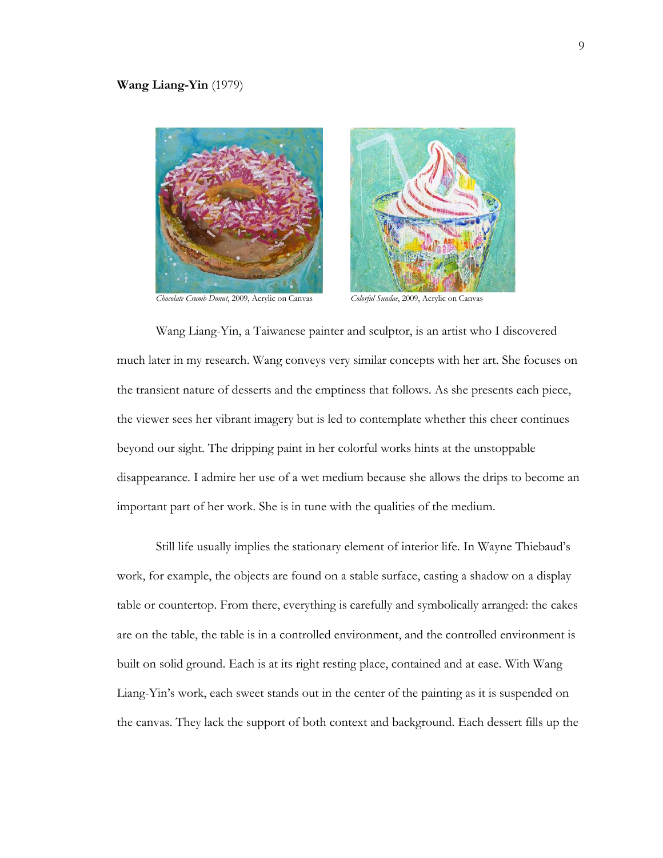

*Chocolate Crumb Donut*, 2009, Acrylic on Canvas *Colorful Sundae*, 2009, Acrylic on Canvas



Wang Liang-Yin, a Taiwanese painter and sculptor, is an artist who I discovered much later in my research. Wang conveys very similar concepts with her art. She focuses on the transient nature of desserts and the emptiness that follows. As she presents each piece, the viewer sees her vibrant imagery but is led to contemplate whether this cheer continues beyond our sight. The dripping paint in her colorful works hints at the unstoppable disappearance. I admire her use of a wet medium because she allows the drips to become an important part of her work. She is in tune with the qualities of the medium.

Still life usually implies the stationary element of interior life. In Wayne Thiebaud's work, for example, the objects are found on a stable surface, casting a shadow on a display table or countertop. From there, everything is carefully and symbolically arranged: the cakes are on the table, the table is in a controlled environment, and the controlled environment is built on solid ground. Each is at its right resting place, contained and at ease. With Wang Liang-Yin's work, each sweet stands out in the center of the painting as it is suspended on the canvas. They lack the support of both context and background. Each dessert fills up the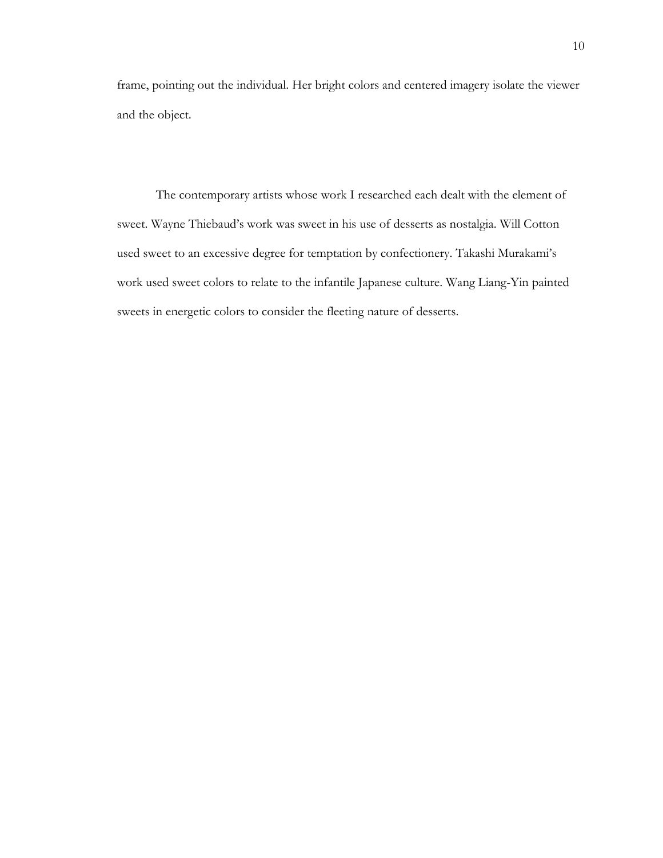frame, pointing out the individual. Her bright colors and centered imagery isolate the viewer and the object.

The contemporary artists whose work I researched each dealt with the element of sweet. Wayne Thiebaud's work was sweet in his use of desserts as nostalgia. Will Cotton used sweet to an excessive degree for temptation by confectionery. Takashi Murakami's work used sweet colors to relate to the infantile Japanese culture. Wang Liang-Yin painted sweets in energetic colors to consider the fleeting nature of desserts.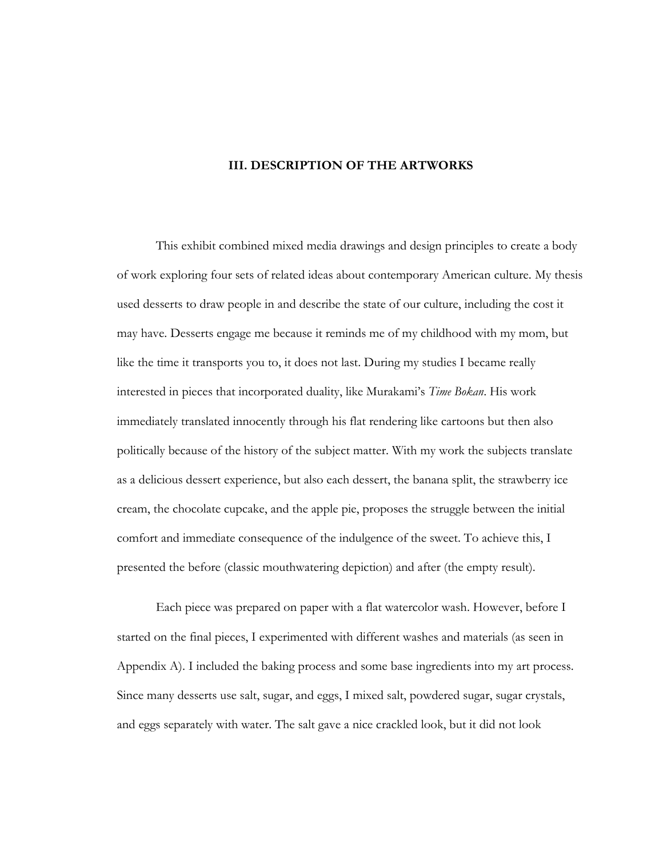### **III. DESCRIPTION OF THE ARTWORKS**

This exhibit combined mixed media drawings and design principles to create a body of work exploring four sets of related ideas about contemporary American culture. My thesis used desserts to draw people in and describe the state of our culture, including the cost it may have. Desserts engage me because it reminds me of my childhood with my mom, but like the time it transports you to, it does not last. During my studies I became really interested in pieces that incorporated duality, like Murakami's *Time Bokan*. His work immediately translated innocently through his flat rendering like cartoons but then also politically because of the history of the subject matter. With my work the subjects translate as a delicious dessert experience, but also each dessert, the banana split, the strawberry ice cream, the chocolate cupcake, and the apple pie, proposes the struggle between the initial comfort and immediate consequence of the indulgence of the sweet. To achieve this, I presented the before (classic mouthwatering depiction) and after (the empty result).

Each piece was prepared on paper with a flat watercolor wash. However, before I started on the final pieces, I experimented with different washes and materials (as seen in Appendix A). I included the baking process and some base ingredients into my art process. Since many desserts use salt, sugar, and eggs, I mixed salt, powdered sugar, sugar crystals, and eggs separately with water. The salt gave a nice crackled look, but it did not look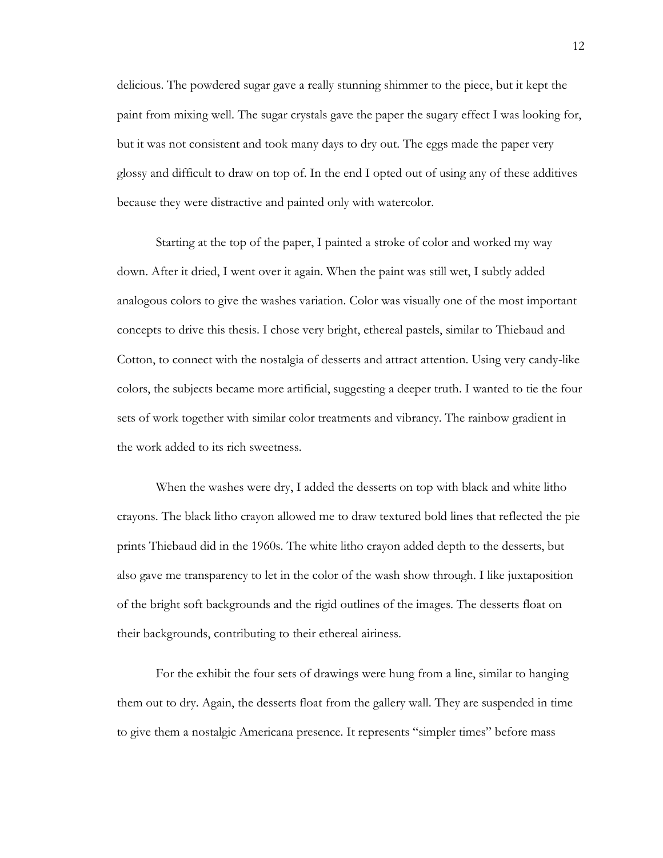delicious. The powdered sugar gave a really stunning shimmer to the piece, but it kept the paint from mixing well. The sugar crystals gave the paper the sugary effect I was looking for, but it was not consistent and took many days to dry out. The eggs made the paper very glossy and difficult to draw on top of. In the end I opted out of using any of these additives because they were distractive and painted only with watercolor.

Starting at the top of the paper, I painted a stroke of color and worked my way down. After it dried, I went over it again. When the paint was still wet, I subtly added analogous colors to give the washes variation. Color was visually one of the most important concepts to drive this thesis. I chose very bright, ethereal pastels, similar to Thiebaud and Cotton, to connect with the nostalgia of desserts and attract attention. Using very candy-like colors, the subjects became more artificial, suggesting a deeper truth. I wanted to tie the four sets of work together with similar color treatments and vibrancy. The rainbow gradient in the work added to its rich sweetness.

When the washes were dry, I added the desserts on top with black and white litho crayons. The black litho crayon allowed me to draw textured bold lines that reflected the pie prints Thiebaud did in the 1960s. The white litho crayon added depth to the desserts, but also gave me transparency to let in the color of the wash show through. I like juxtaposition of the bright soft backgrounds and the rigid outlines of the images. The desserts float on their backgrounds, contributing to their ethereal airiness.

For the exhibit the four sets of drawings were hung from a line, similar to hanging them out to dry. Again, the desserts float from the gallery wall. They are suspended in time to give them a nostalgic Americana presence. It represents "simpler times" before mass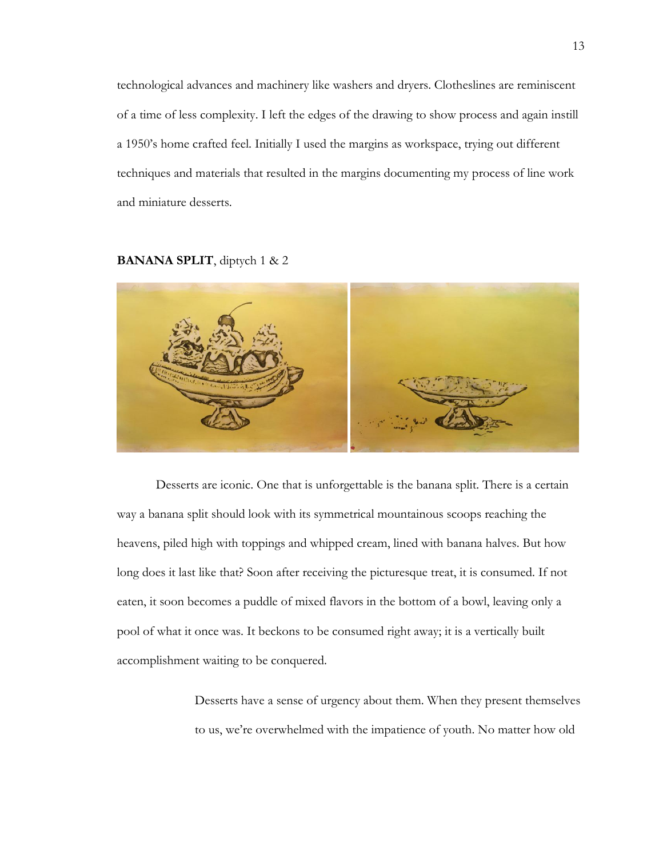technological advances and machinery like washers and dryers. Clotheslines are reminiscent of a time of less complexity. I left the edges of the drawing to show process and again instill a 1950's home crafted feel. Initially I used the margins as workspace, trying out different techniques and materials that resulted in the margins documenting my process of line work and miniature desserts.

#### **BANANA SPLIT**, diptych 1 & 2



Desserts are iconic. One that is unforgettable is the banana split. There is a certain way a banana split should look with its symmetrical mountainous scoops reaching the heavens, piled high with toppings and whipped cream, lined with banana halves. But how long does it last like that? Soon after receiving the picturesque treat, it is consumed. If not eaten, it soon becomes a puddle of mixed flavors in the bottom of a bowl, leaving only a pool of what it once was. It beckons to be consumed right away; it is a vertically built accomplishment waiting to be conquered.

> Desserts have a sense of urgency about them. When they present themselves to us, we're overwhelmed with the impatience of youth. No matter how old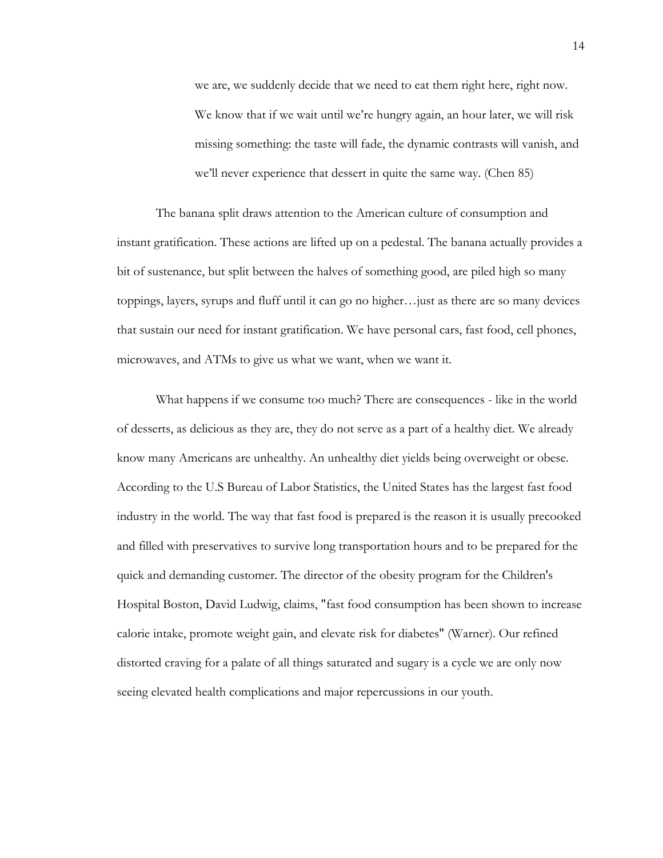we are, we suddenly decide that we need to eat them right here, right now. We know that if we wait until we're hungry again, an hour later, we will risk missing something: the taste will fade, the dynamic contrasts will vanish, and we'll never experience that dessert in quite the same way. (Chen 85)

The banana split draws attention to the American culture of consumption and instant gratification. These actions are lifted up on a pedestal. The banana actually provides a bit of sustenance, but split between the halves of something good, are piled high so many toppings, layers, syrups and fluff until it can go no higher…just as there are so many devices that sustain our need for instant gratification. We have personal cars, fast food, cell phones, microwaves, and ATMs to give us what we want, when we want it.

What happens if we consume too much? There are consequences - like in the world of desserts, as delicious as they are, they do not serve as a part of a healthy diet. We already know many Americans are unhealthy. An unhealthy diet yields being overweight or obese. According to the U.S Bureau of Labor Statistics, the United States has the largest fast food industry in the world. The way that fast food is prepared is the reason it is usually precooked and filled with preservatives to survive long transportation hours and to be prepared for the quick and demanding customer. The director of the obesity program for the Children's Hospital Boston, David Ludwig, claims, "fast food consumption has been shown to increase calorie intake, promote weight gain, and elevate risk for diabetes" (Warner). Our refined distorted craving for a palate of all things saturated and sugary is a cycle we are only now seeing elevated health complications and major repercussions in our youth.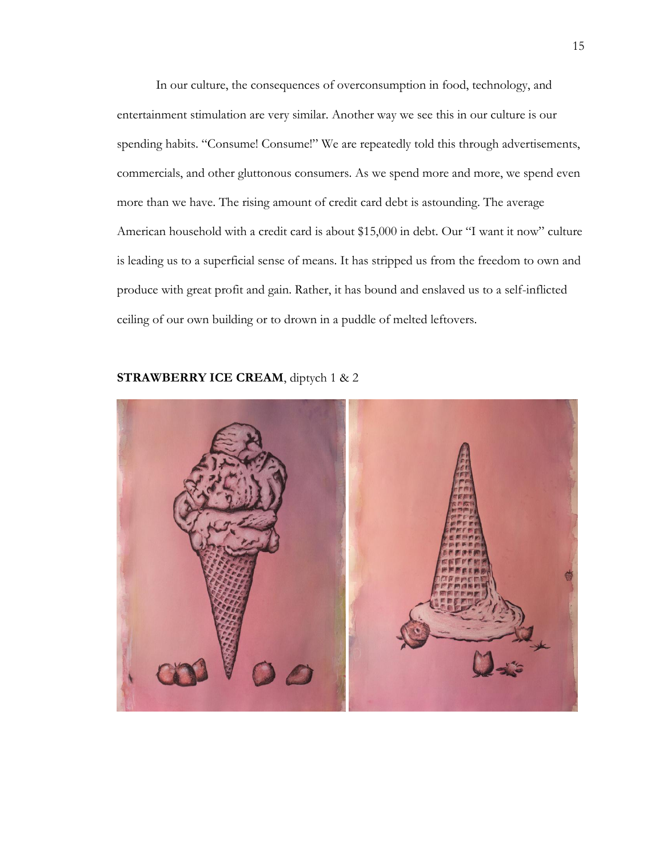In our culture, the consequences of overconsumption in food, technology, and entertainment stimulation are very similar. Another way we see this in our culture is our spending habits. "Consume! Consume!" We are repeatedly told this through advertisements, commercials, and other gluttonous consumers. As we spend more and more, we spend even more than we have. The rising amount of credit card debt is astounding. The average American household with a credit card is about \$15,000 in debt. Our "I want it now" culture is leading us to a superficial sense of means. It has stripped us from the freedom to own and produce with great profit and gain. Rather, it has bound and enslaved us to a self-inflicted ceiling of our own building or to drown in a puddle of melted leftovers.



### **STRAWBERRY ICE CREAM**, diptych 1 & 2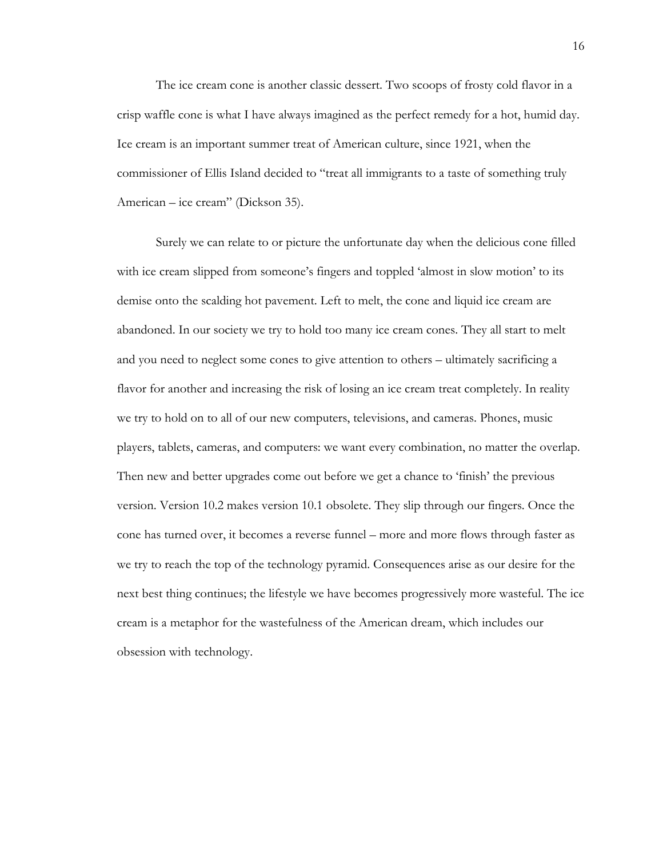The ice cream cone is another classic dessert. Two scoops of frosty cold flavor in a crisp waffle cone is what I have always imagined as the perfect remedy for a hot, humid day. Ice cream is an important summer treat of American culture, since 1921, when the commissioner of Ellis Island decided to "treat all immigrants to a taste of something truly American – ice cream" (Dickson 35).

Surely we can relate to or picture the unfortunate day when the delicious cone filled with ice cream slipped from someone's fingers and toppled 'almost in slow motion' to its demise onto the scalding hot pavement. Left to melt, the cone and liquid ice cream are abandoned. In our society we try to hold too many ice cream cones. They all start to melt and you need to neglect some cones to give attention to others – ultimately sacrificing a flavor for another and increasing the risk of losing an ice cream treat completely. In reality we try to hold on to all of our new computers, televisions, and cameras. Phones, music players, tablets, cameras, and computers: we want every combination, no matter the overlap. Then new and better upgrades come out before we get a chance to 'finish' the previous version. Version 10.2 makes version 10.1 obsolete. They slip through our fingers. Once the cone has turned over, it becomes a reverse funnel – more and more flows through faster as we try to reach the top of the technology pyramid. Consequences arise as our desire for the next best thing continues; the lifestyle we have becomes progressively more wasteful. The ice cream is a metaphor for the wastefulness of the American dream, which includes our obsession with technology.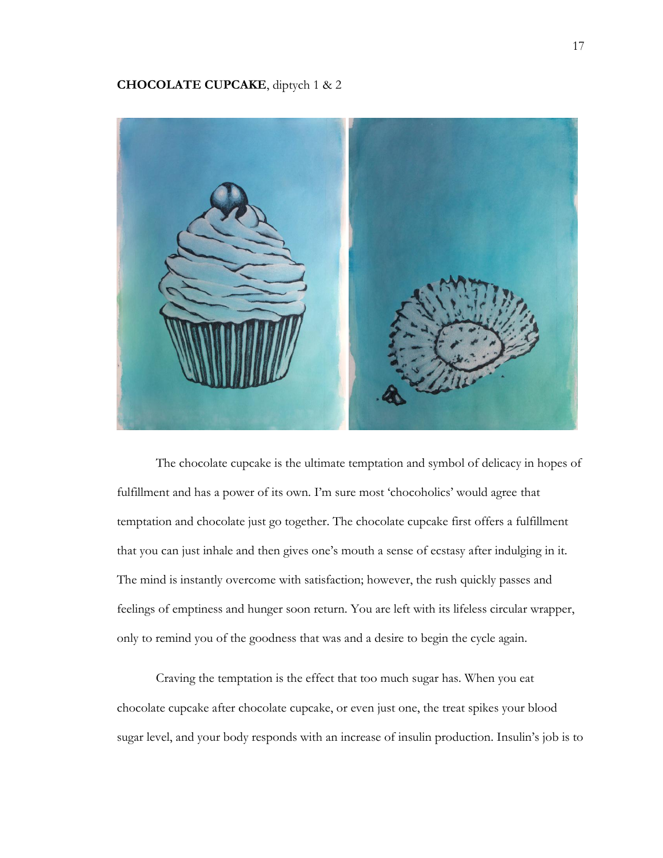### **CHOCOLATE CUPCAKE**, diptych 1 & 2



The chocolate cupcake is the ultimate temptation and symbol of delicacy in hopes of fulfillment and has a power of its own. I'm sure most 'chocoholics' would agree that temptation and chocolate just go together. The chocolate cupcake first offers a fulfillment that you can just inhale and then gives one's mouth a sense of ecstasy after indulging in it. The mind is instantly overcome with satisfaction; however, the rush quickly passes and feelings of emptiness and hunger soon return. You are left with its lifeless circular wrapper, only to remind you of the goodness that was and a desire to begin the cycle again.

Craving the temptation is the effect that too much sugar has. When you eat chocolate cupcake after chocolate cupcake, or even just one, the treat spikes your blood sugar level, and your body responds with an increase of insulin production. Insulin's job is to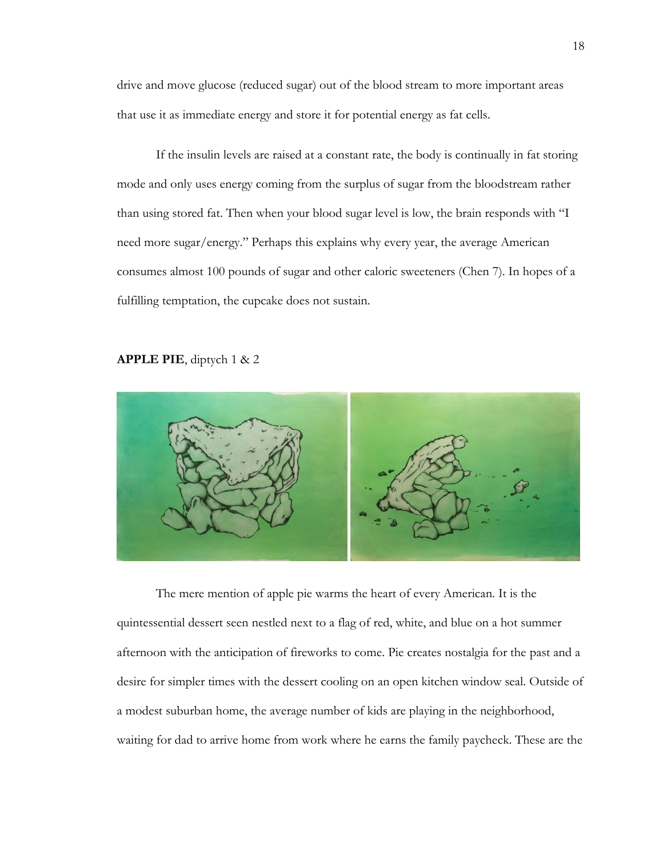drive and move glucose (reduced sugar) out of the blood stream to more important areas that use it as immediate energy and store it for potential energy as fat cells.

If the insulin levels are raised at a constant rate, the body is continually in fat storing mode and only uses energy coming from the surplus of sugar from the bloodstream rather than using stored fat. Then when your blood sugar level is low, the brain responds with "I need more sugar/energy." Perhaps this explains why every year, the average American consumes almost 100 pounds of sugar and other caloric sweeteners (Chen 7). In hopes of a fulfilling temptation, the cupcake does not sustain.

#### **APPLE PIE**, diptych 1 & 2



The mere mention of apple pie warms the heart of every American. It is the quintessential dessert seen nestled next to a flag of red, white, and blue on a hot summer afternoon with the anticipation of fireworks to come. Pie creates nostalgia for the past and a desire for simpler times with the dessert cooling on an open kitchen window seal. Outside of a modest suburban home, the average number of kids are playing in the neighborhood, waiting for dad to arrive home from work where he earns the family paycheck. These are the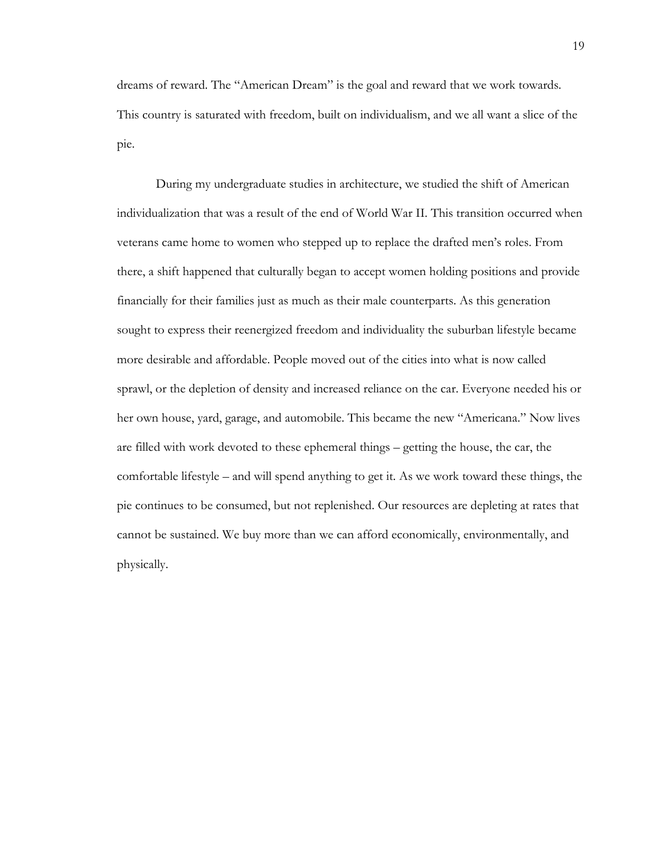dreams of reward. The "American Dream" is the goal and reward that we work towards. This country is saturated with freedom, built on individualism, and we all want a slice of the pie.

During my undergraduate studies in architecture, we studied the shift of American individualization that was a result of the end of World War II. This transition occurred when veterans came home to women who stepped up to replace the drafted men's roles. From there, a shift happened that culturally began to accept women holding positions and provide financially for their families just as much as their male counterparts. As this generation sought to express their reenergized freedom and individuality the suburban lifestyle became more desirable and affordable. People moved out of the cities into what is now called sprawl, or the depletion of density and increased reliance on the car. Everyone needed his or her own house, yard, garage, and automobile. This became the new "Americana." Now lives are filled with work devoted to these ephemeral things – getting the house, the car, the comfortable lifestyle – and will spend anything to get it. As we work toward these things, the pie continues to be consumed, but not replenished. Our resources are depleting at rates that cannot be sustained. We buy more than we can afford economically, environmentally, and physically.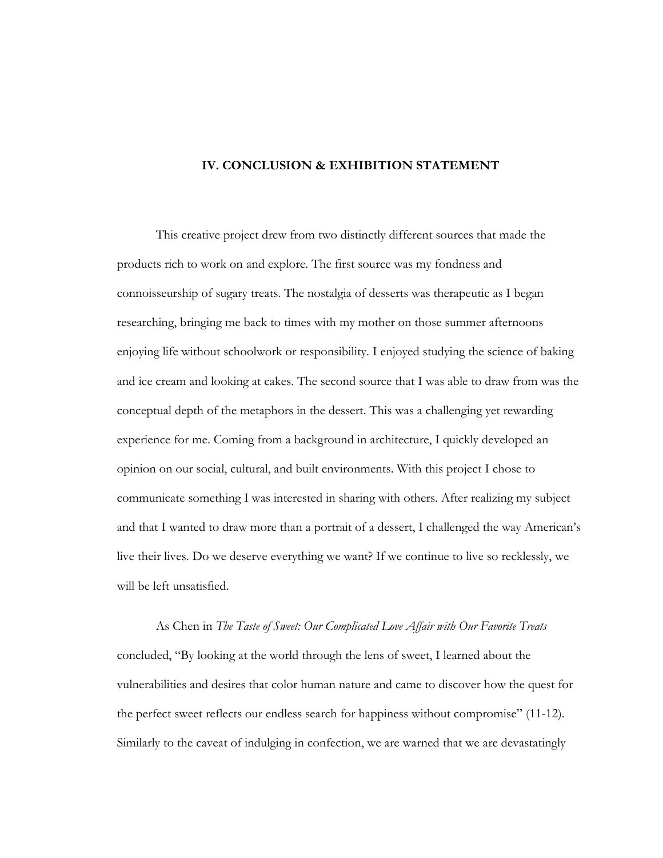#### **IV. CONCLUSION & EXHIBITION STATEMENT**

This creative project drew from two distinctly different sources that made the products rich to work on and explore. The first source was my fondness and connoisseurship of sugary treats. The nostalgia of desserts was therapeutic as I began researching, bringing me back to times with my mother on those summer afternoons enjoying life without schoolwork or responsibility. I enjoyed studying the science of baking and ice cream and looking at cakes. The second source that I was able to draw from was the conceptual depth of the metaphors in the dessert. This was a challenging yet rewarding experience for me. Coming from a background in architecture, I quickly developed an opinion on our social, cultural, and built environments. With this project I chose to communicate something I was interested in sharing with others. After realizing my subject and that I wanted to draw more than a portrait of a dessert, I challenged the way American's live their lives. Do we deserve everything we want? If we continue to live so recklessly, we will be left unsatisfied.

As Chen in *The Taste of Sweet: Our Complicated Love Affair with Our Favorite Treats* concluded, "By looking at the world through the lens of sweet, I learned about the vulnerabilities and desires that color human nature and came to discover how the quest for the perfect sweet reflects our endless search for happiness without compromise" (11-12). Similarly to the caveat of indulging in confection, we are warned that we are devastatingly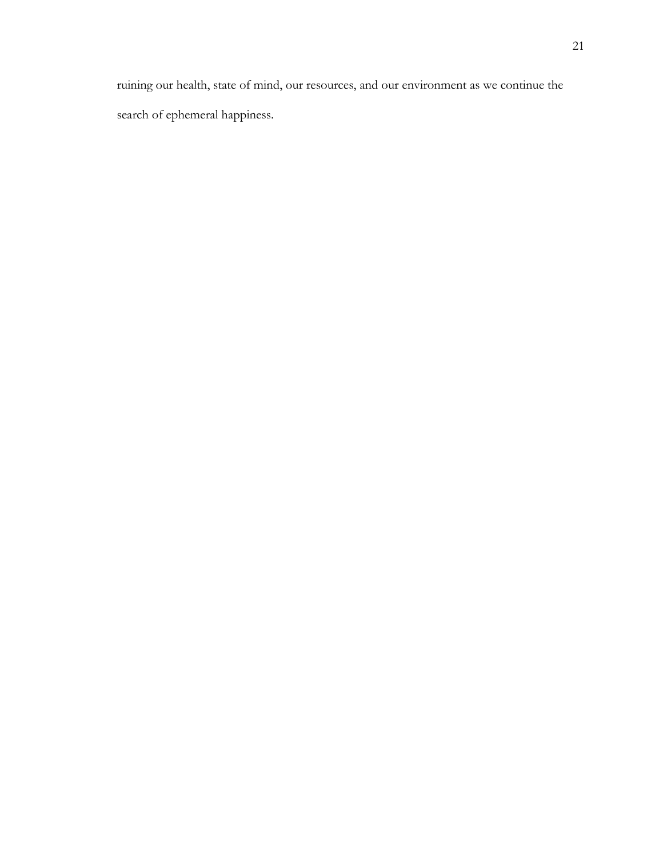ruining our health, state of mind, our resources, and our environment as we continue the search of ephemeral happiness.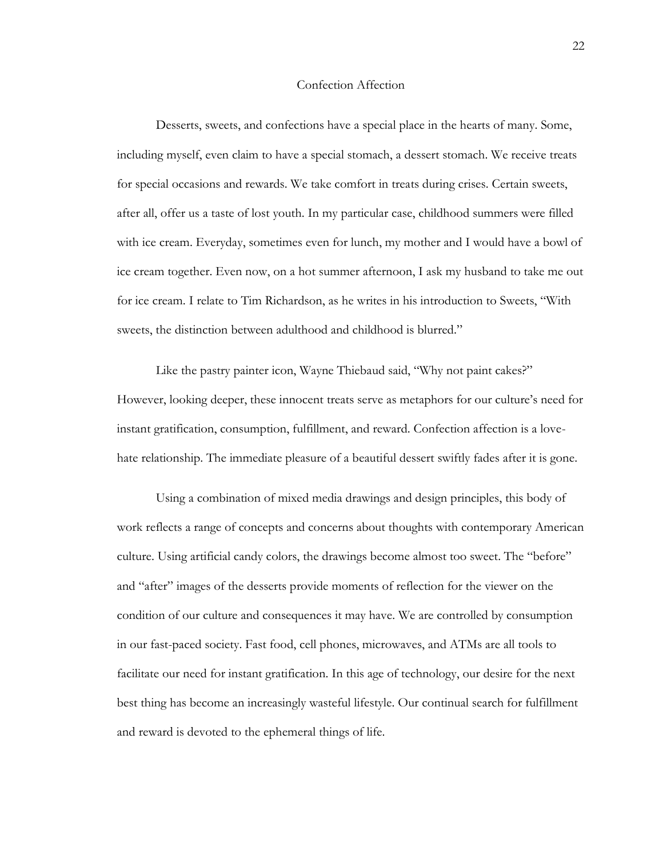#### Confection Affection

Desserts, sweets, and confections have a special place in the hearts of many. Some, including myself, even claim to have a special stomach, a dessert stomach. We receive treats for special occasions and rewards. We take comfort in treats during crises. Certain sweets, after all, offer us a taste of lost youth. In my particular case, childhood summers were filled with ice cream. Everyday, sometimes even for lunch, my mother and I would have a bowl of ice cream together. Even now, on a hot summer afternoon, I ask my husband to take me out for ice cream. I relate to Tim Richardson, as he writes in his introduction to Sweets, "With sweets, the distinction between adulthood and childhood is blurred."

Like the pastry painter icon, Wayne Thiebaud said, "Why not paint cakes?" However, looking deeper, these innocent treats serve as metaphors for our culture's need for instant gratification, consumption, fulfillment, and reward. Confection affection is a lovehate relationship. The immediate pleasure of a beautiful dessert swiftly fades after it is gone.

Using a combination of mixed media drawings and design principles, this body of work reflects a range of concepts and concerns about thoughts with contemporary American culture. Using artificial candy colors, the drawings become almost too sweet. The "before" and "after" images of the desserts provide moments of reflection for the viewer on the condition of our culture and consequences it may have. We are controlled by consumption in our fast-paced society. Fast food, cell phones, microwaves, and ATMs are all tools to facilitate our need for instant gratification. In this age of technology, our desire for the next best thing has become an increasingly wasteful lifestyle. Our continual search for fulfillment and reward is devoted to the ephemeral things of life.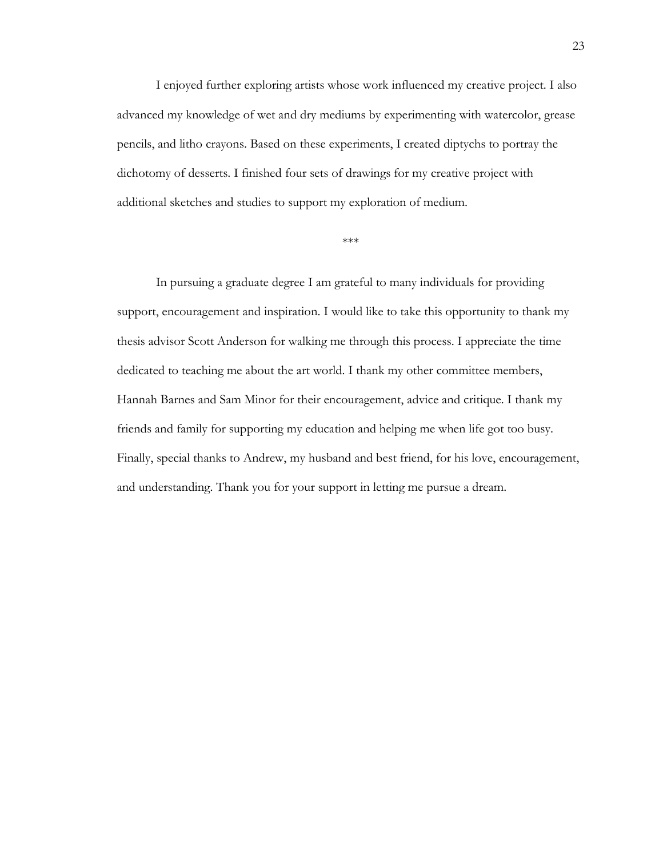I enjoyed further exploring artists whose work influenced my creative project. I also advanced my knowledge of wet and dry mediums by experimenting with watercolor, grease pencils, and litho crayons. Based on these experiments, I created diptychs to portray the dichotomy of desserts. I finished four sets of drawings for my creative project with additional sketches and studies to support my exploration of medium.

#### \*\*\*

In pursuing a graduate degree I am grateful to many individuals for providing support, encouragement and inspiration. I would like to take this opportunity to thank my thesis advisor Scott Anderson for walking me through this process. I appreciate the time dedicated to teaching me about the art world. I thank my other committee members, Hannah Barnes and Sam Minor for their encouragement, advice and critique. I thank my friends and family for supporting my education and helping me when life got too busy. Finally, special thanks to Andrew, my husband and best friend, for his love, encouragement, and understanding. Thank you for your support in letting me pursue a dream.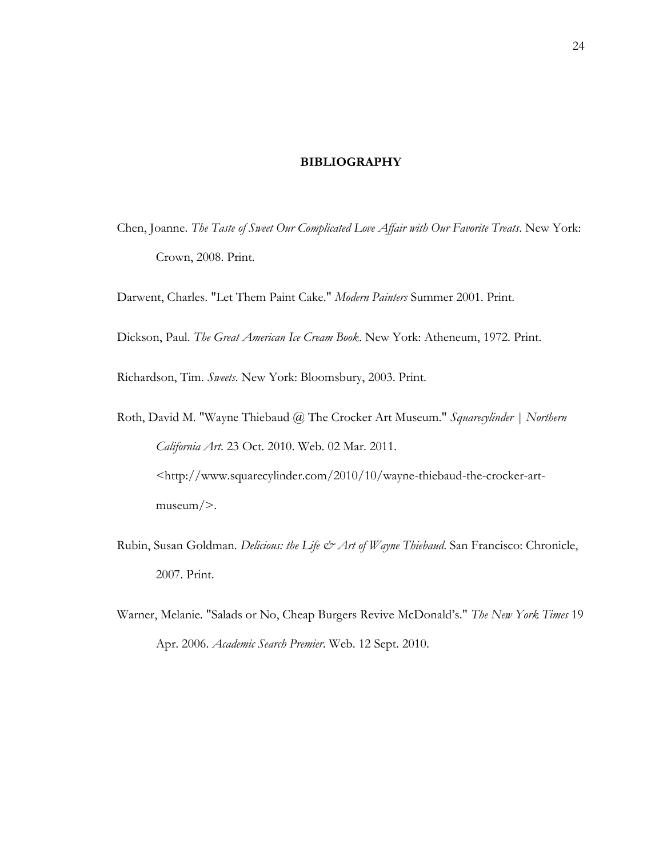#### **BIBLIOGRAPHY**

Chen, Joanne. *The Taste of Sweet Our Complicated Love Affair with Our Favorite Treats*. New York: Crown, 2008. Print.

Darwent, Charles. "Let Them Paint Cake." *Modern Painters* Summer 2001. Print.

Dickson, Paul. *The Great American Ice Cream Book*. New York: Atheneum, 1972. Print.

Richardson, Tim. *Sweets*. New York: Bloomsbury, 2003. Print.

- Roth, David M. "Wayne Thiebaud @ The Crocker Art Museum." *Squarecylinder | Northern California Art*. 23 Oct. 2010. Web. 02 Mar. 2011. <http://www.squarecylinder.com/2010/10/wayne-thiebaud-the-crocker-artmuseum/>.
- Rubin, Susan Goldman. *Delicious: the Life & Art of Wayne Thiebaud*. San Francisco: Chronicle, 2007. Print.
- Warner, Melanie. "Salads or No, Cheap Burgers Revive McDonald's." *The New York Times* 19 Apr. 2006. *Academic Search Premier*. Web. 12 Sept. 2010.